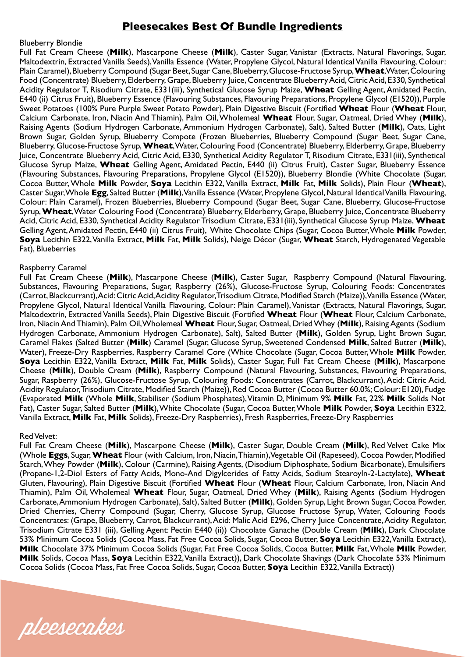# **Pleesecakes Best Of Bundle Ingredients**

### Blueberry Blondie

Full Fat Cream Cheese (**Milk**), Mascarpone Cheese (**Milk**), Caster Sugar, Vanistar (Extracts, Natural Flavorings, Sugar, Maltodextrin, Extracted Vanilla Seeds), Vanilla Essence (Water, Propylene Glycol, Natural Identical Vanilla Flavouring, Colour: Plain Caramel), Blueberry Compound (Sugar Beet, Sugar Cane, Blueberry, Glucose-Fructose Syrup, **Wheat**, Water, Colouring Food (Concentrate) Blueberry, Elderberry, Grape, Blueberry Juice, Concentrate Blueberry Acid, Citric Acid, E330, Synthetical Acidity Regulator T, Risodium Citrate, E331(iii), Synthetical Glucose Syrup Maize, **Wheat** Gelling Agent, Amidated Pectin, E440 (ii) Citrus Fruit), Blueberry Essence (Flavouring Substances, Flavouring Preparations, Propylene Glycol (E1520)), Purple Sweet Potatoes (100% Pure Purple Sweet Potato Powder), Plain Digestive Biscuit (Fortified **Wheat** Flour (**Wheat** Flour, Calcium Carbonate, Iron, Niacin And Thiamin), Palm Oil, Wholemeal **Wheat** Flour, Sugar, Oatmeal, Dried Whey (**Milk**), Raising Agents (Sodium Hydrogen Carbonate, Ammonium Hydrogen Carbonate), Salt), Salted Butter (**Milk**), Oats, Light Brown Sugar, Golden Syrup, Blueberry Compote (Frozen Blueberries, Blueberry Compound (Sugar Beet, Sugar Cane, Blueberry, Glucose-Fructose Syrup, **Wheat**, Water, Colouring Food (Concentrate) Blueberry, Elderberry, Grape, Blueberry Juice, Concentrate Blueberry Acid, Citric Acid, E330, Synthetical Acidity Regulator T, Risodium Citrate, E331(iii), Synthetical Glucose Syrup Maize, **Wheat** Gelling Agent, Amidated Pectin, E440 (ii) Citrus Fruit), Caster Sugar, Blueberry Essence (Flavouring Substances, Flavouring Preparations, Propylene Glycol (E1520)), Blueberry Blondie (White Chocolate (Sugar, Cocoa Butter, Whole **Milk** Powder, **Soya** Lecithin E322, Vanilla Extract, **Milk** Fat, **Milk** Solids), Plain Flour (**Wheat**), Caster Sugar, Whole **Egg**, Salted Butter (**Milk**), Vanilla Essence (Water, Propylene Glycol, Natural Identical Vanilla Flavouring, Colour: Plain Caramel), Frozen Blueberries, Blueberry Compound (Sugar Beet, Sugar Cane, Blueberry, Glucose-Fructose Syrup, **Wheat**, Water Colouring Food (Concentrate) Blueberry, Elderberry, Grape, Blueberry Juice, Concentrate Blueberry Acid, Citric Acid, E330, Synthetical Acidity Regulator Trisodium Citrate, E331(iii), Synthetical Glucose Syrup Maize, **Wheat** Gelling Agent, Amidated Pectin, E440 (ii) Citrus Fruit), White Chocolate Chips (Sugar, Cocoa Butter, Whole **Milk** Powder, **Soya** Lecithin E322, Vanilla Extract, **Milk** Fat, **Milk** Solids), Neige Décor (Sugar, **Wheat** Starch, Hydrogenated Vegetable Fat), Blueberries

### Raspberry Caramel

Full Fat Cream Cheese (**Milk**), Mascarpone Cheese (**Milk**), Caster Sugar, Raspberry Compound (Natural Flavouring, Substances, Flavouring Preparations, Sugar, Raspberry (26%), Glucose-Fructose Syrup, Colouring Foods: Concentrates (Carrot, Blackcurrant), Acid: Citric Acid, Acidity Regulator, Trisodium Citrate, Modified Starch (Maize)), Vanilla Essence (Water, Propylene Glycol, Natural Identical Vanilla Flavouring, Colour: Plain Caramel), Vanistar (Extracts, Natural Flavorings, Sugar, Maltodextrin, Extracted Vanilla Seeds), Plain Digestive Biscuit (Fortified **Wheat** Flour (**Wheat** Flour, Calcium Carbonate, Iron, Niacin And Thiamin), Palm Oil, Wholemeal **Wheat** Flour, Sugar, Oatmeal, Dried Whey (**Milk**), Raising Agents (Sodium Hydrogen Carbonate, Ammonium Hydrogen Carbonate), Salt), Salted Butter (**Milk**), Golden Syrup, Light Brown Sugar, Caramel Flakes (Salted Butter (**Milk**) Caramel (Sugar, Glucose Syrup, Sweetened Condensed **Milk**, Salted Butter (**Milk**), Water), Freeze-Dry Raspberries, Raspberry Caramel Core (White Chocolate (Sugar, Cocoa Butter, Whole **Milk** Powder, **Soya** Lecithin E322, Vanilla Extract, **Milk** Fat, **Milk** Solids), Caster Sugar, Full Fat Cream Cheese (**Milk**), Mascarpone Cheese (**Milk**), Double Cream (**Milk**), Raspberry Compound (Natural Flavouring, Substances, Flavouring Preparations, Sugar, Raspberry (26%), Glucose-Fructose Syrup, Colouring Foods: Concentrates (Carrot, Blackcurrant), Acid: Citric Acid, Acidity Regulator, Trisodium Citrate, Modified Starch (Maize)), Red Cocoa Butter (Cocoa Butter 60.0%; Colour: E120), Fudge (Evaporated **Milk** (Whole **Milk**, Stabiliser (Sodium Phosphates), Vitamin D, Minimum 9% **Milk** Fat, 22% **Milk** Solids Not Fat), Caster Sugar, Salted Butter (**Milk**), White Chocolate (Sugar, Cocoa Butter, Whole **Milk** Powder, **Soya** Lecithin E322, Vanilla Extract, **Milk** Fat, **Milk** Solids), Freeze-Dry Raspberries), Fresh Raspberries, Freeze-Dry Raspberries

#### Red Velvet:

Full Fat Cream Cheese (**Milk**), Mascarpone Cheese (**Milk**), Caster Sugar, Double Cream (**Milk**), Red Velvet Cake Mix (Whole **Eggs**, Sugar, **Wheat** Flour (with Calcium, Iron, Niacin, Thiamin), Vegetable Oil (Rapeseed), Cocoa Powder, Modified Starch, Whey Powder (**Milk**), Colour (Carmine), Raising Agents, (Disodium Diphosphate, Sodium Bicarbonate), Emulsifiers (Propane-1,2-Diol Esters of Fatty Acids, Mono-And Digylcerides of Fatty Acids, Sodium Stearoyln-2-Lactylate), **Wheat** Gluten, Flavouring), Plain Digestive Biscuit (Fortified **Wheat** Flour (**Wheat** Flour, Calcium Carbonate, Iron, Niacin And Thiamin), Palm Oil, Wholemeal **Wheat** Flour, Sugar, Oatmeal, Dried Whey (**Milk**), Raising Agents (Sodium Hydrogen Carbonate, Ammonium Hydrogen Carbonate), Salt), Salted Butter (**Milk**), Golden Syrup, Light Brown Sugar, Cocoa Powder, Dried Cherries, Cherry Compound (Sugar, Cherry, Glucose Syrup, Glucose Fructose Syrup, Water, Colouring Foods Concentrates: (Grape, Blueberry, Carrot, Blackcurrant), Acid: Malic Acid E296, Cherry Juice Concentrate, Acidity Regulator, Trisodium Citrate E331 (iii), Gelling Agent: Pectin E440 (ii)) Chocolate Ganache (Double Cream (**Milk**), Dark Chocolate 53% Minimum Cocoa Solids (Cocoa Mass, Fat Free Cocoa Solids, Sugar, Cocoa Butter, **Soya** Lecithin E322, Vanilla Extract), **Milk** Chocolate 37% Minimum Cocoa Solids (Sugar, Fat Free Cocoa Solids, Cocoa Butter, **Milk** Fat, Whole **Milk** Powder, **Milk** Solids, Cocoa Mass, **Soya** Lecithin E322, Vanilla Extract)), Dark Chocolate Shavings (Dark Chocolate 53% Minimum Cocoa Solids (Cocoa Mass, Fat Free Cocoa Solids, Sugar, Cocoa Butter, **Soya** Lecithin E322, Vanilla Extract))

pleesecakes